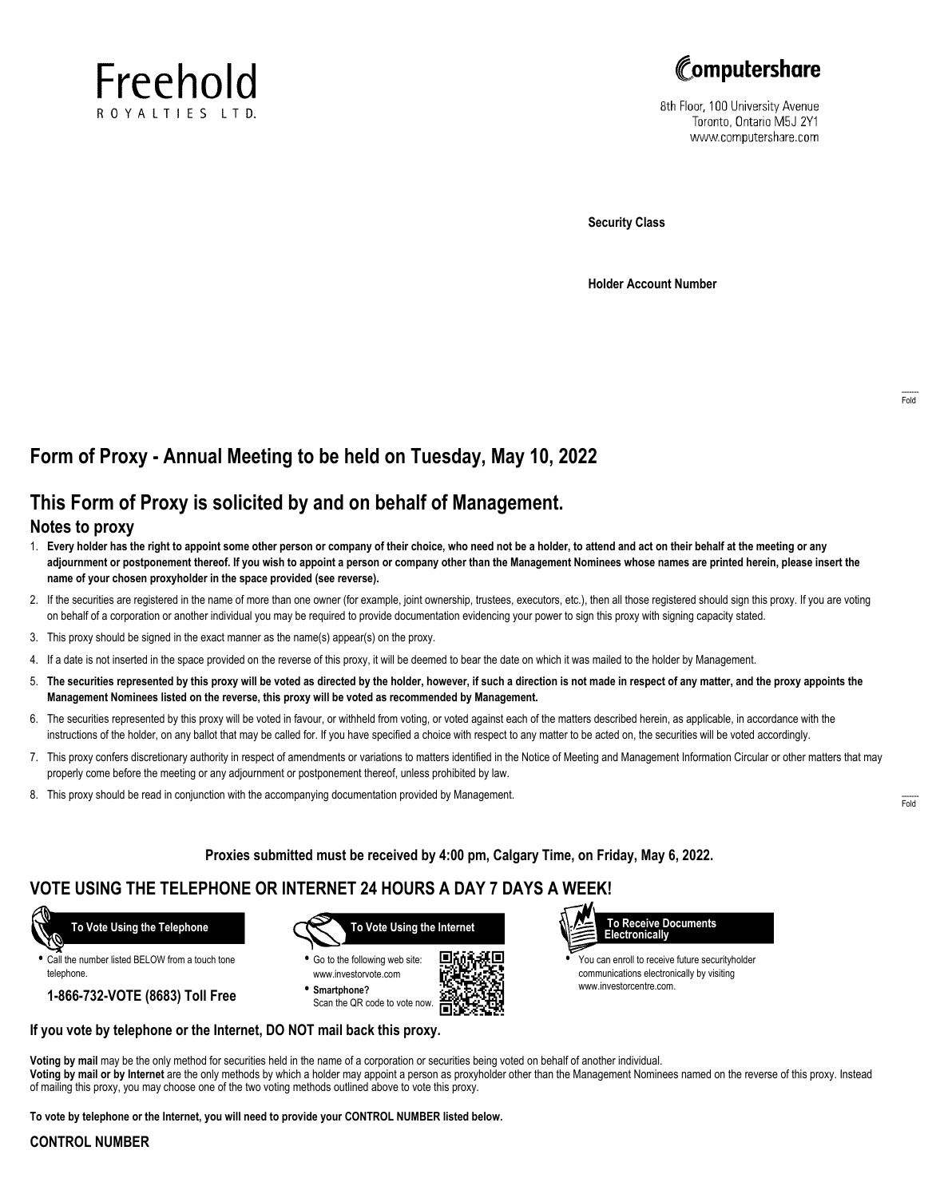



8th Floor, 100 University Avenue Toronto, Ontario M5J 2Y1 www.computershare.com

**Security Class**

**Holder Account Number**

# **Form of Proxy - Annual Meeting to be held on Tuesday, May 10, 2022**

# **This Form of Proxy is solicited by and on behalf of Management.**

### **Notes to proxy**

- 1. **Every holder has the right to appoint some other person or company of their choice, who need not be a holder, to attend and act on their behalf at the meeting or any adjournment or postponement thereof. If you wish to appoint a person or company other than the Management Nominees whose names are printed herein, please insert the name of your chosen proxyholder in the space provided (see reverse).**
- 2. If the securities are registered in the name of more than one owner (for example, joint ownership, trustees, executors, etc.), then all those registered should sign this proxy. If you are voting on behalf of a corporation or another individual you may be required to provide documentation evidencing your power to sign this proxy with signing capacity stated.
- 3. This proxy should be signed in the exact manner as the name(s) appear(s) on the proxy.
- 4. If a date is not inserted in the space provided on the reverse of this proxy, it will be deemed to bear the date on which it was mailed to the holder by Management.
- 5. **The securities represented by this proxy will be voted as directed by the holder, however, if such a direction is not made in respect of any matter, and the proxy appoints the Management Nominees listed on the reverse, this proxy will be voted as recommended by Management.**
- 6. The securities represented by this proxy will be voted in favour, or withheld from voting, or voted against each of the matters described herein, as applicable, in accordance with the instructions of the holder, on any ballot that may be called for. If you have specified a choice with respect to any matter to be acted on, the securities will be voted accordingly.
- 7. This proxy confers discretionary authority in respect of amendments or variations to matters identified in the Notice of Meeting and Management Information Circular or other matters that may properly come before the meeting or any adjournment or postponement thereof, unless prohibited by law.
- 8. This proxy should be read in conjunction with the accompanying documentation provided by Management.

**Proxies submitted must be received by 4:00 pm, Calgary Time, on Friday, May 6, 2022.**

г

## **VOTE USING THE TELEPHONE OR INTERNET 24 HOURS A DAY 7 DAYS A WEEK!**

 **To Vote Using the Telephone**

**•** Call the number listed BELOW from a touch tone telephone.

**1-866-732-VOTE (8683) Toll Free**



**•** Go to the following web site: www.investorvote.com **• Smartphone?**

Scan the QR code to vote now.





**•** You can enroll to receive future securityholder communications electronically by visiting www.investorcentre.com.

#### **If you vote by telephone or the Internet, DO NOT mail back this proxy.**

**Voting by mail** may be the only method for securities held in the name of a corporation or securities being voted on behalf of another individual. **Voting by mail or by Internet** are the only methods by which a holder may appoint a person as proxyholder other than the Management Nominees named on the reverse of this proxy. Instead of mailing this proxy, you may choose one of the two voting methods outlined above to vote this proxy.

**To vote by telephone or the Internet, you will need to provide your CONTROL NUMBER listed below.**

### **CONTROL NUMBER**